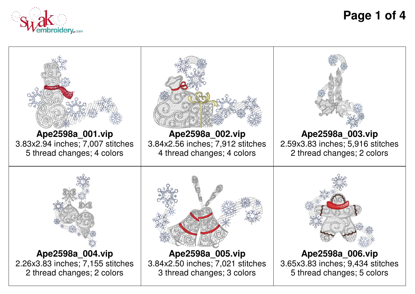

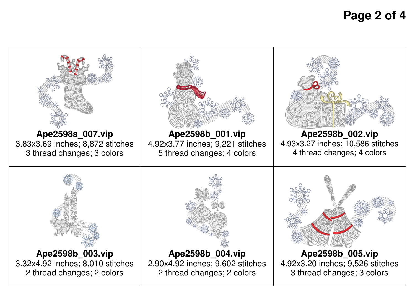## **Page 2 of 4**

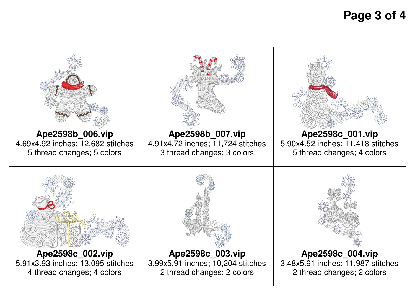## **Page 3 of 4**